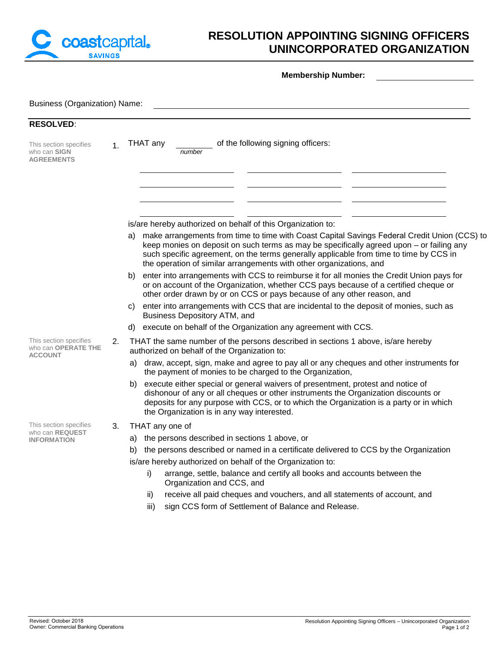

## **RESOLUTION APPOINTING SIGNING OFFICERS UNINCORPORATED ORGANIZATION**

**Membership Number:**

| <b>Business (Organization) Name:</b>                            |                |                                                                                                                                                                                                                                                                                                                                                                 |  |  |  |  |
|-----------------------------------------------------------------|----------------|-----------------------------------------------------------------------------------------------------------------------------------------------------------------------------------------------------------------------------------------------------------------------------------------------------------------------------------------------------------------|--|--|--|--|
| <b>RESOLVED:</b>                                                |                |                                                                                                                                                                                                                                                                                                                                                                 |  |  |  |  |
| This section specifies<br>who can SIGN<br><b>AGREEMENTS</b>     | 1 <sub>1</sub> | of the following signing officers:<br>THAT any<br>number                                                                                                                                                                                                                                                                                                        |  |  |  |  |
|                                                                 |                |                                                                                                                                                                                                                                                                                                                                                                 |  |  |  |  |
|                                                                 |                |                                                                                                                                                                                                                                                                                                                                                                 |  |  |  |  |
|                                                                 |                | is/are hereby authorized on behalf of this Organization to:                                                                                                                                                                                                                                                                                                     |  |  |  |  |
|                                                                 |                | make arrangements from time to time with Coast Capital Savings Federal Credit Union (CCS) to<br>a)<br>keep monies on deposit on such terms as may be specifically agreed upon - or failing any<br>such specific agreement, on the terms generally applicable from time to time by CCS in<br>the operation of similar arrangements with other organizations, and |  |  |  |  |
|                                                                 |                | enter into arrangements with CCS to reimburse it for all monies the Credit Union pays for<br>b)<br>or on account of the Organization, whether CCS pays because of a certified cheque or<br>other order drawn by or on CCS or pays because of any other reason, and                                                                                              |  |  |  |  |
|                                                                 |                | enter into arrangements with CCS that are incidental to the deposit of monies, such as<br>C)<br>Business Depository ATM, and                                                                                                                                                                                                                                    |  |  |  |  |
|                                                                 |                | execute on behalf of the Organization any agreement with CCS.<br>d)                                                                                                                                                                                                                                                                                             |  |  |  |  |
| This section specifies<br>who can OPERATE THE<br><b>ACCOUNT</b> | 2.             | THAT the same number of the persons described in sections 1 above, is/are hereby<br>authorized on behalf of the Organization to:                                                                                                                                                                                                                                |  |  |  |  |
|                                                                 |                | a) draw, accept, sign, make and agree to pay all or any cheques and other instruments for<br>the payment of monies to be charged to the Organization,                                                                                                                                                                                                           |  |  |  |  |
|                                                                 |                | execute either special or general waivers of presentment, protest and notice of<br>b)<br>dishonour of any or all cheques or other instruments the Organization discounts or<br>deposits for any purpose with CCS, or to which the Organization is a party or in which<br>the Organization is in any way interested.                                             |  |  |  |  |
| This section specifies                                          | 3.             | THAT any one of                                                                                                                                                                                                                                                                                                                                                 |  |  |  |  |
| who can REQUEST<br><b>INFORMATION</b>                           |                | the persons described in sections 1 above, or<br>a)                                                                                                                                                                                                                                                                                                             |  |  |  |  |
|                                                                 |                | the persons described or named in a certificate delivered to CCS by the Organization<br>b)                                                                                                                                                                                                                                                                      |  |  |  |  |
|                                                                 |                | is/are hereby authorized on behalf of the Organization to:                                                                                                                                                                                                                                                                                                      |  |  |  |  |
|                                                                 |                | arrange, settle, balance and certify all books and accounts between the<br>i)<br>Organization and CCS, and                                                                                                                                                                                                                                                      |  |  |  |  |
|                                                                 |                | receive all paid cheques and vouchers, and all statements of account, and<br>ii)                                                                                                                                                                                                                                                                                |  |  |  |  |
|                                                                 |                | sign CCS form of Settlement of Balance and Release.<br>iii)                                                                                                                                                                                                                                                                                                     |  |  |  |  |
|                                                                 |                |                                                                                                                                                                                                                                                                                                                                                                 |  |  |  |  |